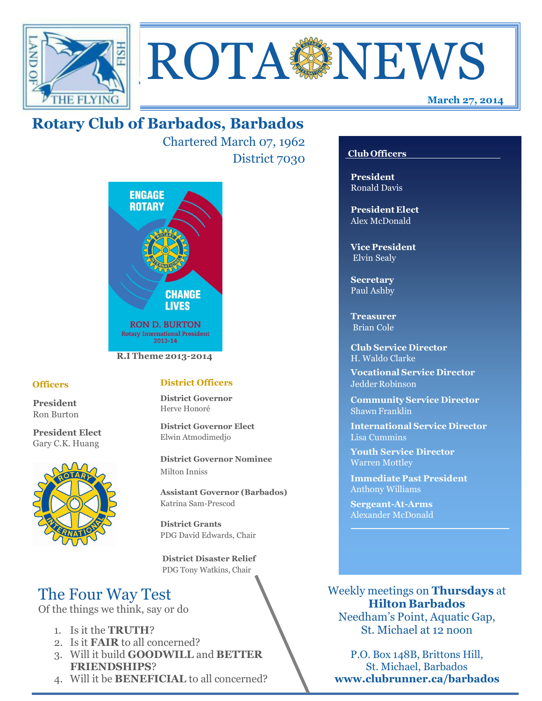



Chartered March 07, 1962 District 7030



#### **Officers**

**President** Ron Burton

**President Elect** Gary C.K. Huang



### **District Officers**

**District Governor** Herve Honoré

**District Governor Elect** Elwin Atmodimedjo

**District Governor Nominee**  Milton Inniss

**Assistant Governor (Barbados)** Katrina Sam-Prescod

**District Grants**  PDG David Edwards, Chair

 **District Disaster Relief** PDG Tony Watkins, Chair

# The Four Way Test

Of the things we think, say or do

- 1. Is it the **TRUTH**?
- 2. Is it **FAIR** to all concerned?
- 3. Will it build **GOODWILL** and **BETTER FRIENDSHIPS**?
- 4. Will it be **BENEFICIAL** to all concerned?

### **Club Officers**

**March 27, 2014**

**President** Ronald Davis

**President Elect** Alex McDonald

**Vice President** Elvin Sealy

**Secretary** Paul Ashby

**Treasurer** Brian Cole

**Club Service Director** H. Waldo Clarke

**Vocational Service Director** Jedder Robinson

**Community Service Director** Shawn Franklin

**International Service Director** Lisa Cummins

**Youth Service Director** Warren Mottley

**Immediate Past President** Anthony Williams

**Sergeant-At-Arms** Alexander McDonald

Weekly meetings on **Thursdays** at **Hilton Barbados** Needham's Point, Aquatic Gap,

St. Michael at 12 noon

P.O. Box 148B, Brittons Hill, St. Michael, Barbados **www.clubrunner.ca/barbados**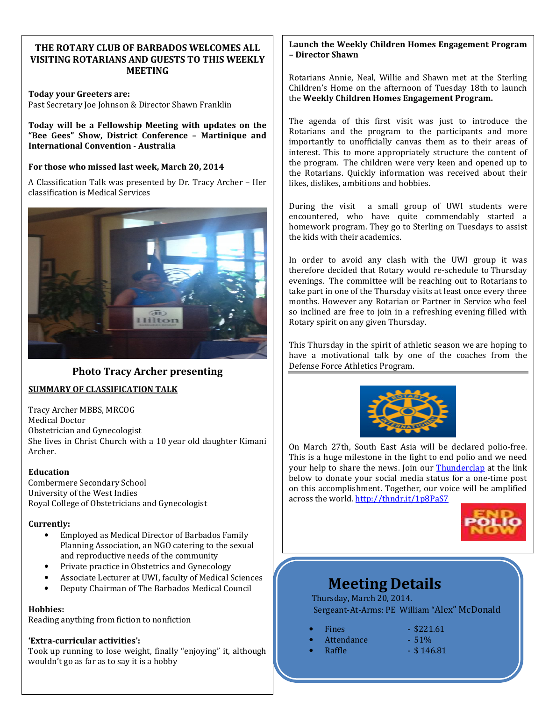### **THE ROTARY CLUB OF BARBADOS WELCOMES ALL VISITING ROTARIANS AND GUESTS TO THIS WEEKLY MEETING**

**Today your Greeters are:**  Past Secretary Joe Johnson & Director Shawn Franklin

**Today will be a Fellowship Meeting with updates on the "Bee Gees" Show, District Conference – Martinique and International Convention - Australia** 

#### **For those who missed last week, March 20, 2014**

A Classification Talk was presented by Dr. Tracy Archer – Her classification is Medical Services



#### **Photo Tracy Archer presenting**

#### **SUMMARY OF CLASSIFICATION TALK**

Tracy Archer MBBS, MRCOG Medical Doctor Obstetrician and Gynecologist She lives in Christ Church with a 10 year old daughter Kimani Archer.

#### **Education**

Combermere Secondary School University of the West Indies Royal College of Obstetricians and Gynecologist

#### **Currently:**

- Employed as Medical Director of Barbados Family Planning Association, an NGO catering to the sexual and reproductive needs of the community
- Private practice in Obstetrics and Gynecology
- Associate Lecturer at UWI, faculty of Medical Sciences
- Deputy Chairman of The Barbados Medical Council

#### **Hobbies:**

Reading anything from fiction to nonfiction

#### **'Extra-curricular activities':**

Took up running to lose weight, finally "enjoying" it, although wouldn't go as far as to say it is a hobby

#### **Launch the Weekly Children Homes Engagement Program – Director Shawn**

Rotarians Annie, Neal, Willie and Shawn met at the Sterling Children's Home on the afternoon of Tuesday 18th to launch the **Weekly Children Homes Engagement Program.** 

The agenda of this first visit was just to introduce the Rotarians and the program to the participants and more importantly to unofficially canvas them as to their areas of interest. This to more appropriately structure the content of the program. The children were very keen and opened up to the Rotarians. Quickly information was received about their likes, dislikes, ambitions and hobbies.

During the visit a small group of UWI students were encountered, who have quite commendably started a homework program. They go to Sterling on Tuesdays to assist the kids with their academics.

In order to avoid any clash with the UWI group it was therefore decided that Rotary would re-schedule to Thursday evenings. The committee will be reaching out to Rotarians to take part in one of the Thursday visits at least once every three months. However any Rotarian or Partner in Service who feel so inclined are free to join in a refreshing evening filled with Rotary spirit on any given Thursday.

This Thursday in the spirit of athletic season we are hoping to have a motivational talk by one of the coaches from the Defense Force Athletics Program.



On March 27th, South East Asia will be declared polio-free. This is a huge milestone in the fight to end polio and we need your help to share the news. Join our **Thunderclap** at the link below to donate your social media status for a one-time post on this accomplishment. Together, our voice will be amplified across the world. http://thndr.it/1p8PaS7



# **Meeting Details**

Thursday, March 20, 2014. Sergeant-At-Arms: PE William "Alex" McDonald

| <b>Fines</b> | $-$ \$221.61 |
|--------------|--------------|
|--------------|--------------|

- Attendance 51%
- 
- 
- **Raffle \$146.81** 
	-
	-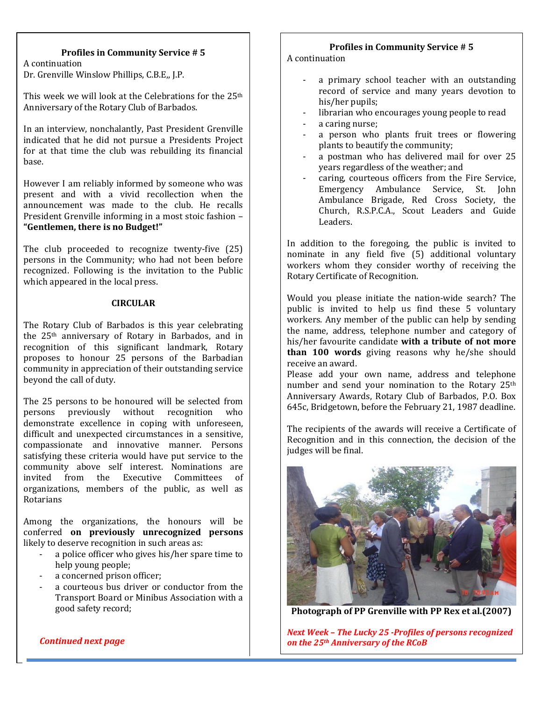#### **Profiles in Community Service # 5**

**GREETERS** Dr. Grenville Winslow Phillips, C.B.E,, J.P. A continuation

This week we will look at the Celebrations for the 25<sup>th</sup> Anniversary of the Rotary Club of Barbados.

In an interview, nonchalantly, Past President Grenville indicated that he did not pursue a Presidents Project for at that time the club was rebuilding its financial base.

However I am reliably informed by someone who was present and with a vivid recollection when the announcement was made to the club. He recalls President Grenville informing in a most stoic fashion – **"Gentlemen, there is no Budget!"** 

The club proceeded to recognize twenty-five (25) persons in the Community; who had not been before recognized. Following is the invitation to the Public which appeared in the local press.

#### **CIRCULAR**

The Rotary Club of Barbados is this year celebrating the 25th anniversary of Rotary in Barbados, and in recognition of this significant landmark, Rotary proposes to honour 25 persons of the Barbadian community in appreciation of their outstanding service beyond the call of duty.

The 25 persons to be honoured will be selected from persons previously without recognition who demonstrate excellence in coping with unforeseen, difficult and unexpected circumstances in a sensitive, compassionate and innovative manner. Persons satisfying these criteria would have put service to the community above self interest. Nominations are<br>invited from the Executive Committees of from the Executive Committees of organizations, members of the public, as well as Rotarians

Among the organizations, the honours will be conferred **on previously unrecognized persons**  likely to deserve recognition in such areas as:

- a police officer who gives his/her spare time to help young people;
- a concerned prison officer:
- a courteous bus driver or conductor from the Transport Board or Minibus Association with a good safety record;

#### **Profiles in Community Service # 5**

#### A continuation

- a primary school teacher with an outstanding record of service and many years devotion to his/her pupils;
- librarian who encourages young people to read
- a caring nurse:
- a person who plants fruit trees or flowering plants to beautify the community;
- a postman who has delivered mail for over 25 years regardless of the weather; and
- caring, courteous officers from the Fire Service, Emergency Ambulance Service, St. John Ambulance Brigade, Red Cross Society, the Church, R.S.P.C.A., Scout Leaders and Guide Leaders.

In addition to the foregoing, the public is invited to nominate in any field five (5) additional voluntary workers whom they consider worthy of receiving the Rotary Certificate of Recognition.

Would you please initiate the nation-wide search? The public is invited to help us find these 5 voluntary workers. Any member of the public can help by sending the name, address, telephone number and category of his/her favourite candidate **with a tribute of not more than 100 words** giving reasons why he/she should receive an award.

Please add your own name, address and telephone number and send your nomination to the Rotary 25th Anniversary Awards, Rotary Club of Barbados, P.O. Box 645c, Bridgetown, before the February 21, 1987 deadline.

The recipients of the awards will receive a Certificate of Recognition and in this connection, the decision of the judges will be final.



**Photograph of PP Grenville with PP Rex et al.(2007)** 

 *on the 25th Anniversary of the RCoB Next Week – The Lucky 25 -Profiles of persons recognized* 

*Continued next page*